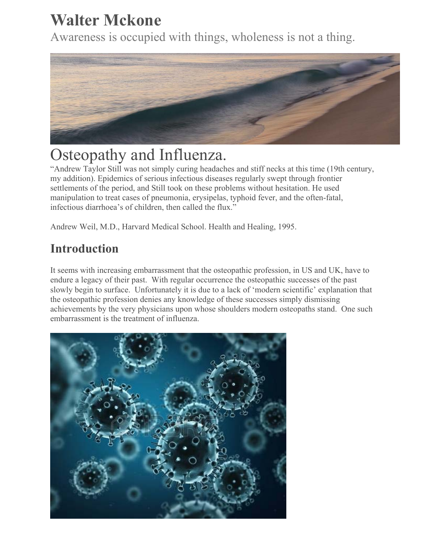# **Walter Mckone**

Awareness is occupied with things, wholeness is not a thing.



# Osteopathy and Influenza.

"Andrew Taylor Still was not simply curing headaches and stiff necks at this time (19th century, my addition). Epidemics of serious infectious diseases regularly swept through frontier settlements of the period, and Still took on these problems without hesitation. He used manipulation to treat cases of pneumonia, erysipelas, typhoid fever, and the often-fatal, infectious diarrhoea's of children, then called the flux."

Andrew Weil, M.D., Harvard Medical School. Health and Healing, 1995.

# **Introduction**

It seems with increasing embarrassment that the osteopathic profession, in US and UK, have to endure a legacy of their past. With regular occurrence the osteopathic successes of the past slowly begin to surface. Unfortunately it is due to a lack of 'modern scientific' explanation that the osteopathic profession denies any knowledge of these successes simply dismissing achievements by the very physicians upon whose shoulders modern osteopaths stand. One such embarrassment is the treatment of influenza.

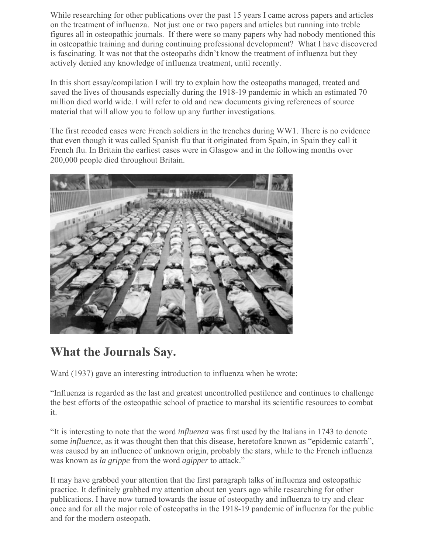While researching for other publications over the past 15 years I came across papers and articles on the treatment of influenza. Not just one or two papers and articles but running into treble figures all in osteopathic journals. If there were so many papers why had nobody mentioned this in osteopathic training and during continuing professional development? What I have discovered is fascinating. It was not that the osteopaths didn't know the treatment of influenza but they actively denied any knowledge of influenza treatment, until recently.

In this short essay/compilation I will try to explain how the osteopaths managed, treated and saved the lives of thousands especially during the 1918-19 pandemic in which an estimated 70 million died world wide. I will refer to old and new documents giving references of source material that will allow you to follow up any further investigations.

The first recoded cases were French soldiers in the trenches during WW1. There is no evidence that even though it was called Spanish flu that it originated from Spain, in Spain they call it French flu. In Britain the earliest cases were in Glasgow and in the following months over 200,000 people died throughout Britain.



# **What the Journals Say.**

Ward (1937) gave an interesting introduction to influenza when he wrote:

"Influenza is regarded as the last and greatest uncontrolled pestilence and continues to challenge the best efforts of the osteopathic school of practice to marshal its scientific resources to combat it.

"It is interesting to note that the word *influenza* was first used by the Italians in 1743 to denote some *influence*, as it was thought then that this disease, heretofore known as "epidemic catarrh", was caused by an influence of unknown origin, probably the stars, while to the French influenza was known as *la grippe* from the word *agipper* to attack."

It may have grabbed your attention that the first paragraph talks of influenza and osteopathic practice. It definitely grabbed my attention about ten years ago while researching for other publications. I have now turned towards the issue of osteopathy and influenza to try and clear once and for all the major role of osteopaths in the 1918-19 pandemic of influenza for the public and for the modern osteopath.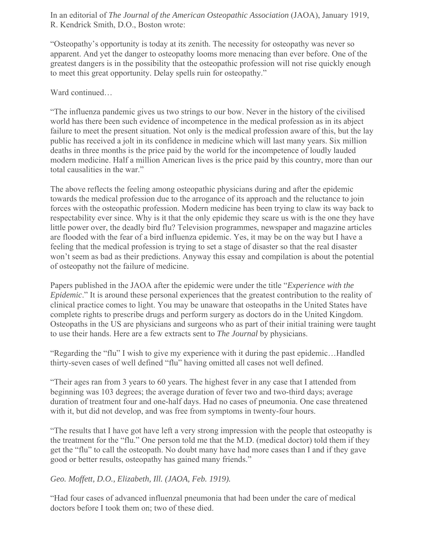In an editorial of *The Journal of the American Osteopathic Association* (JAOA), January 1919, R. Kendrick Smith, D.O., Boston wrote:

"Osteopathy's opportunity is today at its zenith. The necessity for osteopathy was never so apparent. And yet the danger to osteopathy looms more menacing than ever before. One of the greatest dangers is in the possibility that the osteopathic profession will not rise quickly enough to meet this great opportunity. Delay spells ruin for osteopathy."

Ward continued…

"The influenza pandemic gives us two strings to our bow. Never in the history of the civilised world has there been such evidence of incompetence in the medical profession as in its abject failure to meet the present situation. Not only is the medical profession aware of this, but the lay public has received a jolt in its confidence in medicine which will last many years. Six million deaths in three months is the price paid by the world for the incompetence of loudly lauded modern medicine. Half a million American lives is the price paid by this country, more than our total causalities in the war."

The above reflects the feeling among osteopathic physicians during and after the epidemic towards the medical profession due to the arrogance of its approach and the reluctance to join forces with the osteopathic profession. Modern medicine has been trying to claw its way back to respectability ever since. Why is it that the only epidemic they scare us with is the one they have little power over, the deadly bird flu? Television programmes, newspaper and magazine articles are flooded with the fear of a bird influenza epidemic. Yes, it may be on the way but I have a feeling that the medical profession is trying to set a stage of disaster so that the real disaster won't seem as bad as their predictions. Anyway this essay and compilation is about the potential of osteopathy not the failure of medicine.

Papers published in the JAOA after the epidemic were under the title "*Experience with the Epidemic*." It is around these personal experiences that the greatest contribution to the reality of clinical practice comes to light. You may be unaware that osteopaths in the United States have complete rights to prescribe drugs and perform surgery as doctors do in the United Kingdom. Osteopaths in the US are physicians and surgeons who as part of their initial training were taught to use their hands. Here are a few extracts sent to *The Journal* by physicians.

"Regarding the "flu" I wish to give my experience with it during the past epidemic…Handled thirty-seven cases of well defined "flu" having omitted all cases not well defined.

"Their ages ran from 3 years to 60 years. The highest fever in any case that I attended from beginning was 103 degrees; the average duration of fever two and two-third days; average duration of treatment four and one-half days. Had no cases of pneumonia. One case threatened with it, but did not develop, and was free from symptoms in twenty-four hours.

"The results that I have got have left a very strong impression with the people that osteopathy is the treatment for the "flu." One person told me that the M.D. (medical doctor) told them if they get the "flu" to call the osteopath. No doubt many have had more cases than I and if they gave good or better results, osteopathy has gained many friends."

*Geo. Moffett, D.O., Elizabeth, Ill. (JAOA, Feb. 1919).*

"Had four cases of advanced influenzal pneumonia that had been under the care of medical doctors before I took them on; two of these died.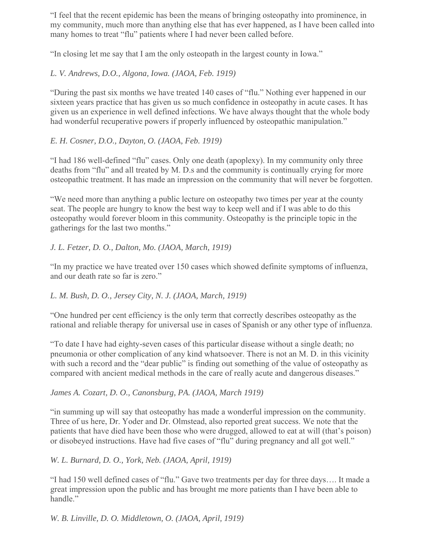"I feel that the recent epidemic has been the means of bringing osteopathy into prominence, in my community, much more than anything else that has ever happened, as I have been called into many homes to treat "flu" patients where I had never been called before.

"In closing let me say that I am the only osteopath in the largest county in Iowa."

#### *L. V. Andrews, D.O., Algona, Iowa. (JAOA, Feb. 1919)*

"During the past six months we have treated 140 cases of "flu." Nothing ever happened in our sixteen years practice that has given us so much confidence in osteopathy in acute cases. It has given us an experience in well defined infections. We have always thought that the whole body had wonderful recuperative powers if properly influenced by osteopathic manipulation."

#### *E. H. Cosner, D.O., Dayton, O. (JAOA, Feb. 1919)*

"I had 186 well-defined "flu" cases. Only one death (apoplexy). In my community only three deaths from "flu" and all treated by M. D.s and the community is continually crying for more osteopathic treatment. It has made an impression on the community that will never be forgotten.

"We need more than anything a public lecture on osteopathy two times per year at the county seat. The people are hungry to know the best way to keep well and if I was able to do this osteopathy would forever bloom in this community. Osteopathy is the principle topic in the gatherings for the last two months."

#### *J. L. Fetzer, D. O., Dalton, Mo. (JAOA, March, 1919)*

"In my practice we have treated over 150 cases which showed definite symptoms of influenza, and our death rate so far is zero."

#### *L. M. Bush, D. O., Jersey City, N. J. (JAOA, March, 1919)*

"One hundred per cent efficiency is the only term that correctly describes osteopathy as the rational and reliable therapy for universal use in cases of Spanish or any other type of influenza.

"To date I have had eighty-seven cases of this particular disease without a single death; no pneumonia or other complication of any kind whatsoever. There is not an M. D. in this vicinity with such a record and the "dear public" is finding out something of the value of osteopathy as compared with ancient medical methods in the care of really acute and dangerous diseases."

#### *James A. Cozart, D. O., Canonsburg, PA. (JAOA, March 1919)*

"in summing up will say that osteopathy has made a wonderful impression on the community. Three of us here, Dr. Yoder and Dr. Olmstead, also reported great success. We note that the patients that have died have been those who were drugged, allowed to eat at will (that's poison) or disobeyed instructions. Have had five cases of "flu" during pregnancy and all got well."

*W. L. Burnard, D. O., York, Neb. (JAOA, April, 1919)*

"I had 150 well defined cases of "flu." Gave two treatments per day for three days…. It made a great impression upon the public and has brought me more patients than I have been able to handle."

*W. B. Linville, D. O. Middletown, O. (JAOA, April, 1919)*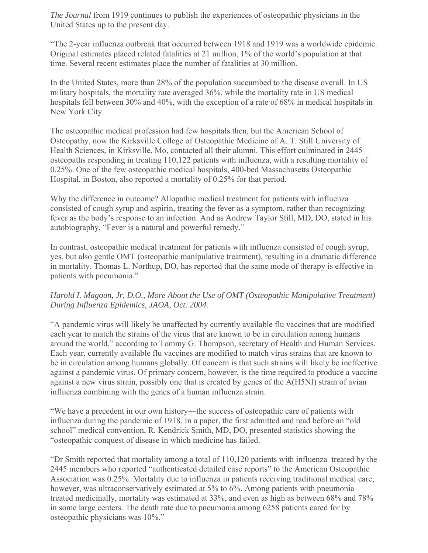*The Journal* from 1919 continues to publish the experiences of osteopathic physicians in the United States up to the present day.

"The 2-year influenza outbreak that occurred between 1918 and 1919 was a worldwide epidemic. Original estimates placed related fatalities at 21 million, 1% of the world's population at that time. Several recent estimates place the number of fatalities at 30 million.

In the United States, more than 28% of the population succumbed to the disease overall. In US military hospitals, the mortality rate averaged 36%, while the mortality rate in US medical hospitals fell between 30% and 40%, with the exception of a rate of 68% in medical hospitals in New York City.

The osteopathic medical profession had few hospitals then, but the American School of Osteopathy, now the Kirksville College of Osteopathic Medicine of A. T. Still University of Health Sciences, in Kirksville, Mo, contacted all their alumni. This effort culminated in 2445 osteopaths responding in treating 110,122 patients with influenza, with a resulting mortality of 0.25%. One of the few osteopathic medical hospitals, 400-bed Massachusetts Osteopathic Hospital, in Boston, also reported a mortality of 0.25% for that period.

Why the difference in outcome? Allopathic medical treatment for patients with influenza consisted of cough syrup and aspirin, treating the fever as a symptom, rather than recognizing fever as the body's response to an infection. And as Andrew Taylor Still, MD, DO, stated in his autobiography, "Fever is a natural and powerful remedy."

In contrast, osteopathic medical treatment for patients with influenza consisted of cough syrup, yes, but also gentle OMT (osteopathic manipulative treatment), resulting in a dramatic difference in mortality. Thomas L. Northup, DO, has reported that the same mode of therapy is effective in patients with pneumonia."

#### *Harold I. Magoun, Jr, D.O., More About the Use of OMT (Osteopathic Manipulative Treatment) During Influenza Epidemics, JAOA, Oct. 2004.*

"A pandemic virus will likely be unaffected by currently available flu vaccines that are modified each year to match the strains of the virus that are known to be in circulation among humans around the world," according to Tommy G. Thompson, secretary of Health and Human Services. Each year, currently available flu vaccines are modified to match virus strains that are known to be in circulation among humans globally. Of concern is that such strains will likely be ineffective against a pandemic virus. Of primary concern, however, is the time required to produce a vaccine against a new virus strain, possibly one that is created by genes of the A(H5NI) strain of avian influenza combining with the genes of a human influenza strain.

"We have a precedent in our own history—the success of osteopathic care of patients with influenza during the pandemic of 1918. In a paper, the first admitted and read before an "old school" medical convention, R. Kendrick Smith, MD, DO, presented statistics showing the "osteopathic conquest of disease in which medicine has failed.

"Dr Smith reported that mortality among a total of 110,120 patients with influenza treated by the 2445 members who reported "authenticated detailed case reports" to the American Osteopathic Association was 0.25%. Mortality due to influenza in patients receiving traditional medical care, however, was ultraconservatively estimated at 5% to 6%. Among patients with pneumonia treated medicinally, mortality was estimated at 33%, and even as high as between 68% and 78% in some large centers. The death rate due to pneumonia among 6258 patients cared for by osteopathic physicians was 10%."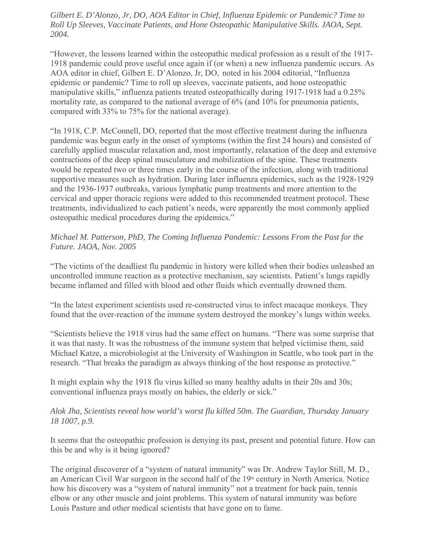*Gilbert E. D'Alonzo, Jr, DO, AOA Editor in Chief, Influenza Epidemic or Pandemic? Time to Roll Up Sleeves, Vaccinate Patients, and Hone Osteopathic Manipulative Skills. JAOA, Sept. 2004.*

"However, the lessons learned within the osteopathic medical profession as a result of the 1917- 1918 pandemic could prove useful once again if (or when) a new influenza pandemic occurs. As AOA editor in chief, Gilbert E. D'Alonzo, Jr, DO, noted in his 2004 editorial, "Influenza epidemic or pandemic? Time to roll up sleeves, vaccinate patients, and hone osteopathic manipulative skills," influenza patients treated osteopathically during 1917-1918 had a 0.25% mortality rate, as compared to the national average of 6% (and 10% for pneumonia patients, compared with 33% to 75% for the national average).

"In 1918, C.P. McConnell, DO, reported that the most effective treatment during the influenza pandemic was begun early in the onset of symptoms (within the first 24 hours) and consisted of carefully applied muscular relaxation and, most importantly, relaxation of the deep and extensive contractions of the deep spinal musculature and mobilization of the spine. These treatments would be repeated two or three times early in the course of the infection, along with traditional supportive measures such as hydration. During later influenza epidemics, such as the 1928-1929 and the 1936-1937 outbreaks, various lymphatic pump treatments and more attention to the cervical and upper thoracic regions were added to this recommended treatment protocol. These treatments, individualized to each patient's needs, were apparently the most commonly applied osteopathic medical procedures during the epidemics."

#### *Michael M. Patterson, PhD, The Coming Influenza Pandemic: Lessons From the Past for the Future. JAOA, Nov. 2005*

"The victims of the deadliest flu pandemic in history were killed when their bodies unleashed an uncontrolled immune reaction as a protective mechanism, say scientists. Patient's lungs rapidly became inflamed and filled with blood and other fluids which eventually drowned them.

"In the latest experiment scientists used re-constructed virus to infect macaque monkeys. They found that the over-reaction of the immune system destroyed the monkey's lungs within weeks.

"Scientists believe the 1918 virus had the same effect on humans. "There was some surprise that it was that nasty. It was the robustness of the immune system that helped victimise them, said Michael Katze, a microbiologist at the University of Washington in Seattle, who took part in the research. "That breaks the paradigm as always thinking of the host response as protective."

It might explain why the 1918 flu virus killed so many healthy adults in their 20s and 30s; conventional influenza prays mostly on babies, the elderly or sick."

#### *Alok Jha, Scientists reveal how world's worst flu killed 50m. The Guardian, Thursday January 18 1007, p.9.*

It seems that the osteopathic profession is denying its past, present and potential future. How can this be and why is it being ignored?

The original discoverer of a "system of natural immunity" was Dr. Andrew Taylor Still, M. D., an American Civil War surgeon in the second half of the  $19<sup>th</sup>$  century in North America. Notice how his discovery was a "system of natural immunity" not a treatment for back pain, tennis elbow or any other muscle and joint problems. This system of natural immunity was before Louis Pasture and other medical scientists that have gone on to fame.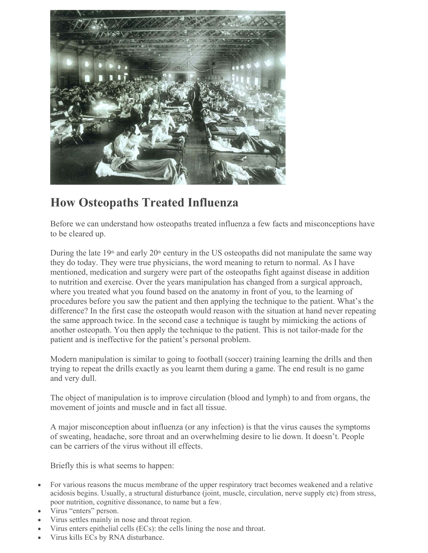

# **How Osteopaths Treated Influenza**

Before we can understand how osteopaths treated influenza a few facts and misconceptions have to be cleared up.

During the late  $19<sup>th</sup>$  and early  $20<sup>th</sup>$  century in the US osteopaths did not manipulate the same way they do today. They were true physicians, the word meaning to return to normal. As I have mentioned, medication and surgery were part of the osteopaths fight against disease in addition to nutrition and exercise. Over the years manipulation has changed from a surgical approach, where you treated what you found based on the anatomy in front of you, to the learning of procedures before you saw the patient and then applying the technique to the patient. What's the difference? In the first case the osteopath would reason with the situation at hand never repeating the same approach twice. In the second case a technique is taught by mimicking the actions of another osteopath. You then apply the technique to the patient. This is not tailor-made for the patient and is ineffective for the patient's personal problem.

Modern manipulation is similar to going to football (soccer) training learning the drills and then trying to repeat the drills exactly as you learnt them during a game. The end result is no game and very dull.

The object of manipulation is to improve circulation (blood and lymph) to and from organs, the movement of joints and muscle and in fact all tissue.

A major misconception about influenza (or any infection) is that the virus causes the symptoms of sweating, headache, sore throat and an overwhelming desire to lie down. It doesn't. People can be carriers of the virus without ill effects.

Briefly this is what seems to happen:

- For various reasons the mucus membrane of the upper respiratory tract becomes weakened and a relative acidosis begins. Usually, a structural disturbance (joint, muscle, circulation, nerve supply etc) from stress, poor nutrition, cognitive dissonance, to name but a few.
- Virus "enters" person.
- Virus settles mainly in nose and throat region.
- Virus enters epithelial cells (ECs): the cells lining the nose and throat.
- Virus kills ECs by RNA disturbance.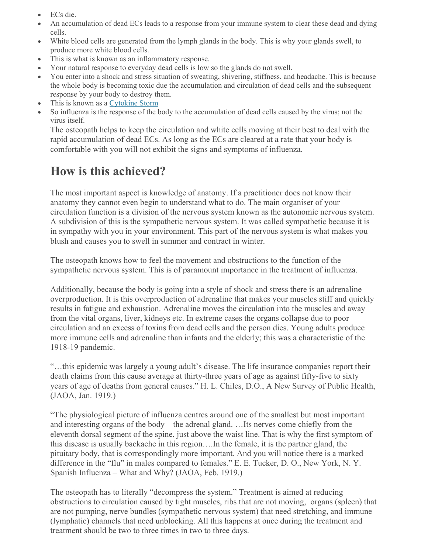- ECs die.
- An accumulation of dead ECs leads to a response from your immune system to clear these dead and dying cells.
- White blood cells are generated from the lymph glands in the body. This is why your glands swell, to produce more white blood cells.
- This is what is known as an inflammatory response.
- Your natural response to everyday dead cells is low so the glands do not swell.
- You enter into a shock and stress situation of sweating, shivering, stiffness, and headache. This is because the whole body is becoming toxic due the accumulation and circulation of dead cells and the subsequent response by your body to destroy them.
- This is known as a Cytokine Storm
- So influenza is the response of the body to the accumulation of dead cells caused by the virus; not the virus itself.

The osteopath helps to keep the circulation and white cells moving at their best to deal with the rapid accumulation of dead ECs. As long as the ECs are cleared at a rate that your body is comfortable with you will not exhibit the signs and symptoms of influenza.

## **How is this achieved?**

The most important aspect is knowledge of anatomy. If a practitioner does not know their anatomy they cannot even begin to understand what to do. The main organiser of your circulation function is a division of the nervous system known as the autonomic nervous system. A subdivision of this is the sympathetic nervous system. It was called sympathetic because it is in sympathy with you in your environment. This part of the nervous system is what makes you blush and causes you to swell in summer and contract in winter.

The osteopath knows how to feel the movement and obstructions to the function of the sympathetic nervous system. This is of paramount importance in the treatment of influenza.

Additionally, because the body is going into a style of shock and stress there is an adrenaline overproduction. It is this overproduction of adrenaline that makes your muscles stiff and quickly results in fatigue and exhaustion. Adrenaline moves the circulation into the muscles and away from the vital organs, liver, kidneys etc. In extreme cases the organs collapse due to poor circulation and an excess of toxins from dead cells and the person dies. Young adults produce more immune cells and adrenaline than infants and the elderly; this was a characteristic of the 1918-19 pandemic.

"…this epidemic was largely a young adult's disease. The life insurance companies report their death claims from this cause average at thirty-three years of age as against fifty-five to sixty years of age of deaths from general causes." H. L. Chiles, D.O., A New Survey of Public Health, (JAOA, Jan. 1919.)

"The physiological picture of influenza centres around one of the smallest but most important and interesting organs of the body – the adrenal gland. …Its nerves come chiefly from the eleventh dorsal segment of the spine, just above the waist line. That is why the first symptom of this disease is usually backache in this region….In the female, it is the partner gland, the pituitary body, that is correspondingly more important. And you will notice there is a marked difference in the "flu" in males compared to females." E. E. Tucker, D. O., New York, N. Y. Spanish Influenza – What and Why? (JAOA, Feb. 1919.)

The osteopath has to literally "decompress the system." Treatment is aimed at reducing obstructions to circulation caused by tight muscles, ribs that are not moving, organs (spleen) that are not pumping, nerve bundles (sympathetic nervous system) that need stretching, and immune (lymphatic) channels that need unblocking. All this happens at once during the treatment and treatment should be two to three times in two to three days.